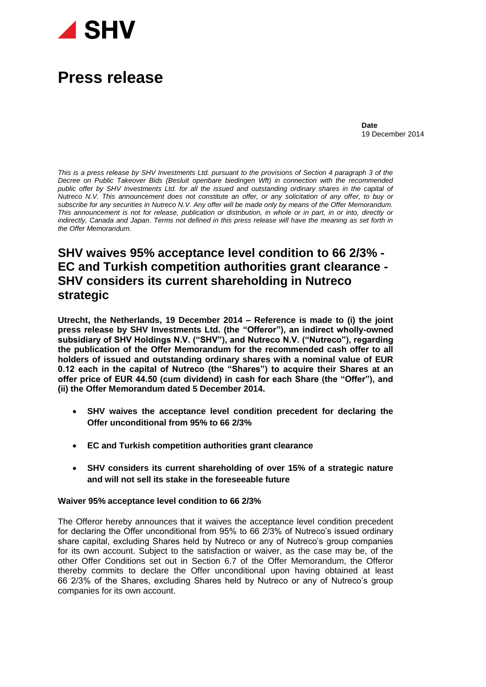

# **Press release**

**Date** 19 December 2014

*This is a press release by SHV Investments Ltd. pursuant to the provisions of Section 4 paragraph 3 of the Decree on Public Takeover Bids (Besluit openbare biedingen Wft) in connection with the recommended public offer by SHV Investments Ltd. for all the issued and outstanding ordinary shares in the capital of Nutreco N.V. This announcement does not constitute an offer, or any solicitation of any offer, to buy or subscribe for any securities in Nutreco N.V. Any offer will be made only by means of the Offer Memorandum. This announcement is not for release, publication or distribution, in whole or in part, in or into, directly or indirectly, Canada and Japan. Terms not defined in this press release will have the meaning as set forth in the Offer Memorandum.*

# **SHV waives 95% acceptance level condition to 66 2/3% - EC and Turkish competition authorities grant clearance - SHV considers its current shareholding in Nutreco strategic**

**Utrecht, the Netherlands, 19 December 2014 – Reference is made to (i) the joint press release by SHV Investments Ltd. (the "Offeror"), an indirect wholly-owned subsidiary of SHV Holdings N.V. ("SHV"), and Nutreco N.V. ("Nutreco"), regarding the publication of the Offer Memorandum for the recommended cash offer to all holders of issued and outstanding ordinary shares with a nominal value of EUR 0.12 each in the capital of Nutreco (the "Shares") to acquire their Shares at an offer price of EUR 44.50 (cum dividend) in cash for each Share (the "Offer"), and (ii) the Offer Memorandum dated 5 December 2014.** 

- **SHV waives the acceptance level condition precedent for declaring the Offer unconditional from 95% to 66 2/3%**
- **EC and Turkish competition authorities grant clearance**
- **SHV considers its current shareholding of over 15% of a strategic nature and will not sell its stake in the foreseeable future**

# **Waiver 95% acceptance level condition to 66 2/3%**

The Offeror hereby announces that it waives the acceptance level condition precedent for declaring the Offer unconditional from 95% to 66 2/3% of Nutreco's issued ordinary share capital, excluding Shares held by Nutreco or any of Nutreco's group companies for its own account. Subject to the satisfaction or waiver, as the case may be, of the other Offer Conditions set out in Section 6.7 of the Offer Memorandum, the Offeror thereby commits to declare the Offer unconditional upon having obtained at least 66 2/3% of the Shares, excluding Shares held by Nutreco or any of Nutreco's group companies for its own account.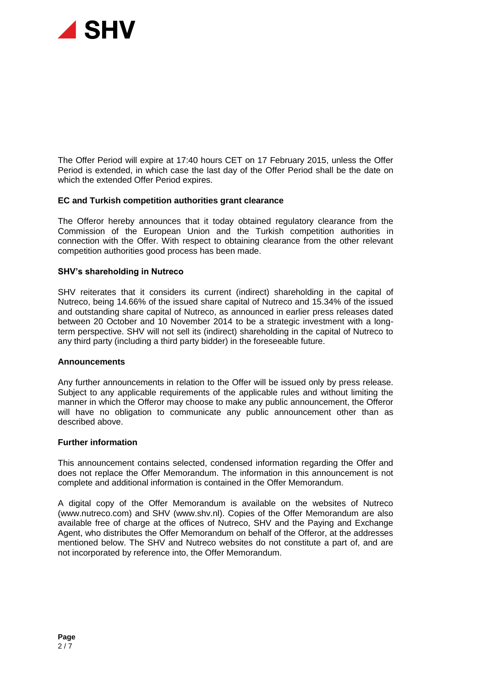

The Offer Period will expire at 17:40 hours CET on 17 February 2015, unless the Offer Period is extended, in which case the last day of the Offer Period shall be the date on which the extended Offer Period expires.

#### **EC and Turkish competition authorities grant clearance**

The Offeror hereby announces that it today obtained regulatory clearance from the Commission of the European Union and the Turkish competition authorities in connection with the Offer. With respect to obtaining clearance from the other relevant competition authorities good process has been made.

#### **SHV's shareholding in Nutreco**

SHV reiterates that it considers its current (indirect) shareholding in the capital of Nutreco, being 14.66% of the issued share capital of Nutreco and 15.34% of the issued and outstanding share capital of Nutreco, as announced in earlier press releases dated between 20 October and 10 November 2014 to be a strategic investment with a longterm perspective. SHV will not sell its (indirect) shareholding in the capital of Nutreco to any third party (including a third party bidder) in the foreseeable future.

#### **Announcements**

Any further announcements in relation to the Offer will be issued only by press release. Subject to any applicable requirements of the applicable rules and without limiting the manner in which the Offeror may choose to make any public announcement, the Offeror will have no obligation to communicate any public announcement other than as described above.

#### **Further information**

This announcement contains selected, condensed information regarding the Offer and does not replace the Offer Memorandum. The information in this announcement is not complete and additional information is contained in the Offer Memorandum.

A digital copy of the Offer Memorandum is available on the websites of Nutreco (www.nutreco.com) and SHV (www.shv.nl). Copies of the Offer Memorandum are also available free of charge at the offices of Nutreco, SHV and the Paying and Exchange Agent, who distributes the Offer Memorandum on behalf of the Offeror, at the addresses mentioned below. The SHV and Nutreco websites do not constitute a part of, and are not incorporated by reference into, the Offer Memorandum.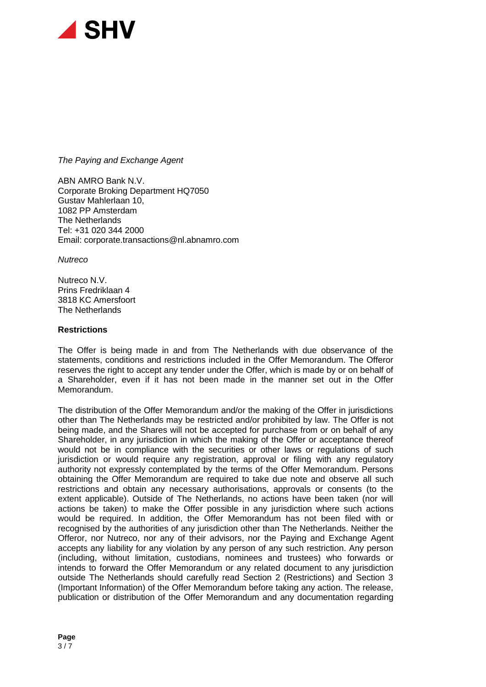

*The Paying and Exchange Agent*

ABN AMRO Bank N.V. Corporate Broking Department HQ7050 Gustav Mahlerlaan 10, 1082 PP Amsterdam The Netherlands Tel: +31 020 344 2000 Email: corporate.transactions@nl.abnamro.com

*Nutreco*

Nutreco N.V. Prins Fredriklaan 4 3818 KC Amersfoort The Netherlands

# **Restrictions**

The Offer is being made in and from The Netherlands with due observance of the statements, conditions and restrictions included in the Offer Memorandum. The Offeror reserves the right to accept any tender under the Offer, which is made by or on behalf of a Shareholder, even if it has not been made in the manner set out in the Offer Memorandum.

The distribution of the Offer Memorandum and/or the making of the Offer in jurisdictions other than The Netherlands may be restricted and/or prohibited by law. The Offer is not being made, and the Shares will not be accepted for purchase from or on behalf of any Shareholder, in any jurisdiction in which the making of the Offer or acceptance thereof would not be in compliance with the securities or other laws or regulations of such jurisdiction or would require any registration, approval or filing with any regulatory authority not expressly contemplated by the terms of the Offer Memorandum. Persons obtaining the Offer Memorandum are required to take due note and observe all such restrictions and obtain any necessary authorisations, approvals or consents (to the extent applicable). Outside of The Netherlands, no actions have been taken (nor will actions be taken) to make the Offer possible in any jurisdiction where such actions would be required. In addition, the Offer Memorandum has not been filed with or recognised by the authorities of any jurisdiction other than The Netherlands. Neither the Offeror, nor Nutreco, nor any of their advisors, nor the Paying and Exchange Agent accepts any liability for any violation by any person of any such restriction. Any person (including, without limitation, custodians, nominees and trustees) who forwards or intends to forward the Offer Memorandum or any related document to any jurisdiction outside The Netherlands should carefully read Section 2 (Restrictions) and Section 3 (Important Information) of the Offer Memorandum before taking any action. The release, publication or distribution of the Offer Memorandum and any documentation regarding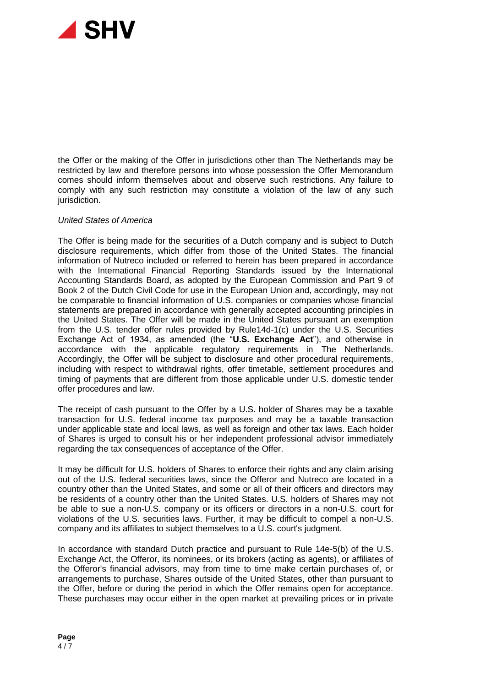

the Offer or the making of the Offer in jurisdictions other than The Netherlands may be restricted by law and therefore persons into whose possession the Offer Memorandum comes should inform themselves about and observe such restrictions. Any failure to comply with any such restriction may constitute a violation of the law of any such jurisdiction.

#### *United States of America*

The Offer is being made for the securities of a Dutch company and is subject to Dutch disclosure requirements, which differ from those of the United States. The financial information of Nutreco included or referred to herein has been prepared in accordance with the International Financial Reporting Standards issued by the International Accounting Standards Board, as adopted by the European Commission and Part 9 of Book 2 of the Dutch Civil Code for use in the European Union and, accordingly, may not be comparable to financial information of U.S. companies or companies whose financial statements are prepared in accordance with generally accepted accounting principles in the United States. The Offer will be made in the United States pursuant an exemption from the U.S. tender offer rules provided by Rule14d-1(c) under the U.S. Securities Exchange Act of 1934, as amended (the "**U.S. Exchange Act**"), and otherwise in accordance with the applicable regulatory requirements in The Netherlands. Accordingly, the Offer will be subject to disclosure and other procedural requirements, including with respect to withdrawal rights, offer timetable, settlement procedures and timing of payments that are different from those applicable under U.S. domestic tender offer procedures and law.

The receipt of cash pursuant to the Offer by a U.S. holder of Shares may be a taxable transaction for U.S. federal income tax purposes and may be a taxable transaction under applicable state and local laws, as well as foreign and other tax laws. Each holder of Shares is urged to consult his or her independent professional advisor immediately regarding the tax consequences of acceptance of the Offer.

It may be difficult for U.S. holders of Shares to enforce their rights and any claim arising out of the U.S. federal securities laws, since the Offeror and Nutreco are located in a country other than the United States, and some or all of their officers and directors may be residents of a country other than the United States. U.S. holders of Shares may not be able to sue a non-U.S. company or its officers or directors in a non-U.S. court for violations of the U.S. securities laws. Further, it may be difficult to compel a non-U.S. company and its affiliates to subject themselves to a U.S. court's judgment.

In accordance with standard Dutch practice and pursuant to Rule 14e-5(b) of the U.S. Exchange Act, the Offeror, its nominees, or its brokers (acting as agents), or affiliates of the Offeror's financial advisors, may from time to time make certain purchases of, or arrangements to purchase, Shares outside of the United States, other than pursuant to the Offer, before or during the period in which the Offer remains open for acceptance. These purchases may occur either in the open market at prevailing prices or in private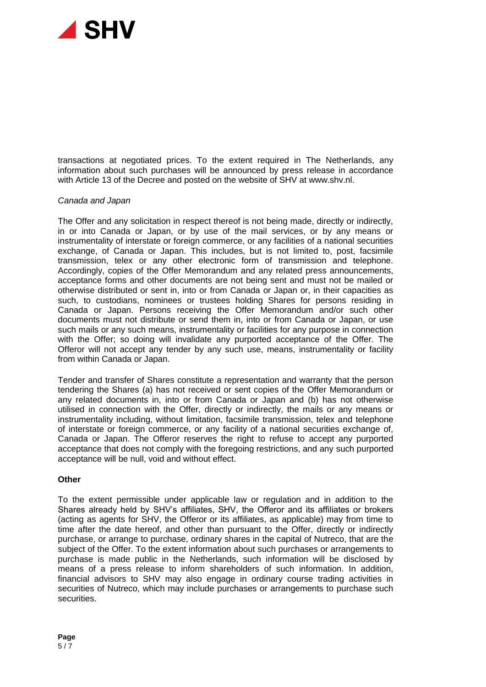

transactions at negotiated prices. To the extent required in The Netherlands, any information about such purchases will be announced by press release in accordance with Article 13 of the Decree and posted on the website of SHV at www.shv.nl.

#### *Canada and Japan*

The Offer and any solicitation in respect thereof is not being made, directly or indirectly, in or into Canada or Japan, or by use of the mail services, or by any means or instrumentality of interstate or foreign commerce, or any facilities of a national securities exchange, of Canada or Japan. This includes, but is not limited to, post, facsimile transmission, telex or any other electronic form of transmission and telephone. Accordingly, copies of the Offer Memorandum and any related press announcements, acceptance forms and other documents are not being sent and must not be mailed or otherwise distributed or sent in, into or from Canada or Japan or, in their capacities as such, to custodians, nominees or trustees holding Shares for persons residing in Canada or Japan. Persons receiving the Offer Memorandum and/or such other documents must not distribute or send them in, into or from Canada or Japan, or use such mails or any such means, instrumentality or facilities for any purpose in connection with the Offer; so doing will invalidate any purported acceptance of the Offer. The Offeror will not accept any tender by any such use, means, instrumentality or facility from within Canada or Japan.

Tender and transfer of Shares constitute a representation and warranty that the person tendering the Shares (a) has not received or sent copies of the Offer Memorandum or any related documents in, into or from Canada or Japan and (b) has not otherwise utilised in connection with the Offer, directly or indirectly, the mails or any means or instrumentality including, without limitation, facsimile transmission, telex and telephone of interstate or foreign commerce, or any facility of a national securities exchange of, Canada or Japan. The Offeror reserves the right to refuse to accept any purported acceptance that does not comply with the foregoing restrictions, and any such purported acceptance will be null, void and without effect.

#### **Other**

To the extent permissible under applicable law or regulation and in addition to the Shares already held by SHV's affiliates, SHV, the Offeror and its affiliates or brokers (acting as agents for SHV, the Offeror or its affiliates, as applicable) may from time to time after the date hereof, and other than pursuant to the Offer, directly or indirectly purchase, or arrange to purchase, ordinary shares in the capital of Nutreco, that are the subject of the Offer. To the extent information about such purchases or arrangements to purchase is made public in the Netherlands, such information will be disclosed by means of a press release to inform shareholders of such information. In addition, financial advisors to SHV may also engage in ordinary course trading activities in securities of Nutreco, which may include purchases or arrangements to purchase such securities.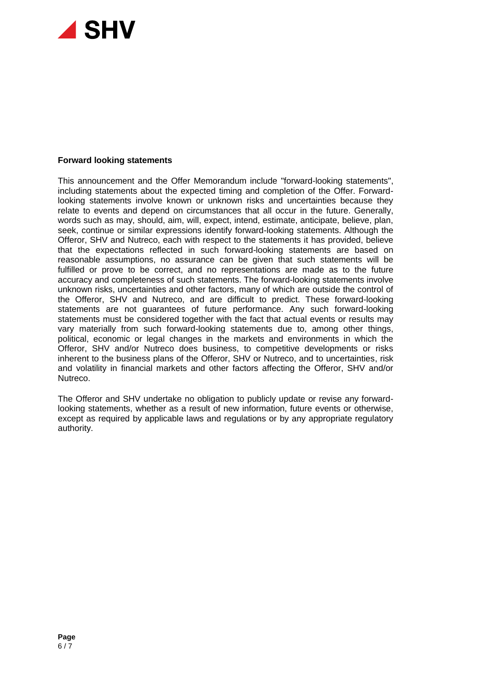

# **Forward looking statements**

This announcement and the Offer Memorandum include "forward-looking statements", including statements about the expected timing and completion of the Offer. Forwardlooking statements involve known or unknown risks and uncertainties because they relate to events and depend on circumstances that all occur in the future. Generally, words such as may, should, aim, will, expect, intend, estimate, anticipate, believe, plan, seek, continue or similar expressions identify forward-looking statements. Although the Offeror, SHV and Nutreco, each with respect to the statements it has provided, believe that the expectations reflected in such forward-looking statements are based on reasonable assumptions, no assurance can be given that such statements will be fulfilled or prove to be correct, and no representations are made as to the future accuracy and completeness of such statements. The forward-looking statements involve unknown risks, uncertainties and other factors, many of which are outside the control of the Offeror, SHV and Nutreco, and are difficult to predict. These forward-looking statements are not guarantees of future performance. Any such forward-looking statements must be considered together with the fact that actual events or results may vary materially from such forward-looking statements due to, among other things, political, economic or legal changes in the markets and environments in which the Offeror, SHV and/or Nutreco does business, to competitive developments or risks inherent to the business plans of the Offeror, SHV or Nutreco, and to uncertainties, risk and volatility in financial markets and other factors affecting the Offeror, SHV and/or Nutreco.

The Offeror and SHV undertake no obligation to publicly update or revise any forwardlooking statements, whether as a result of new information, future events or otherwise, except as required by applicable laws and regulations or by any appropriate regulatory authority.